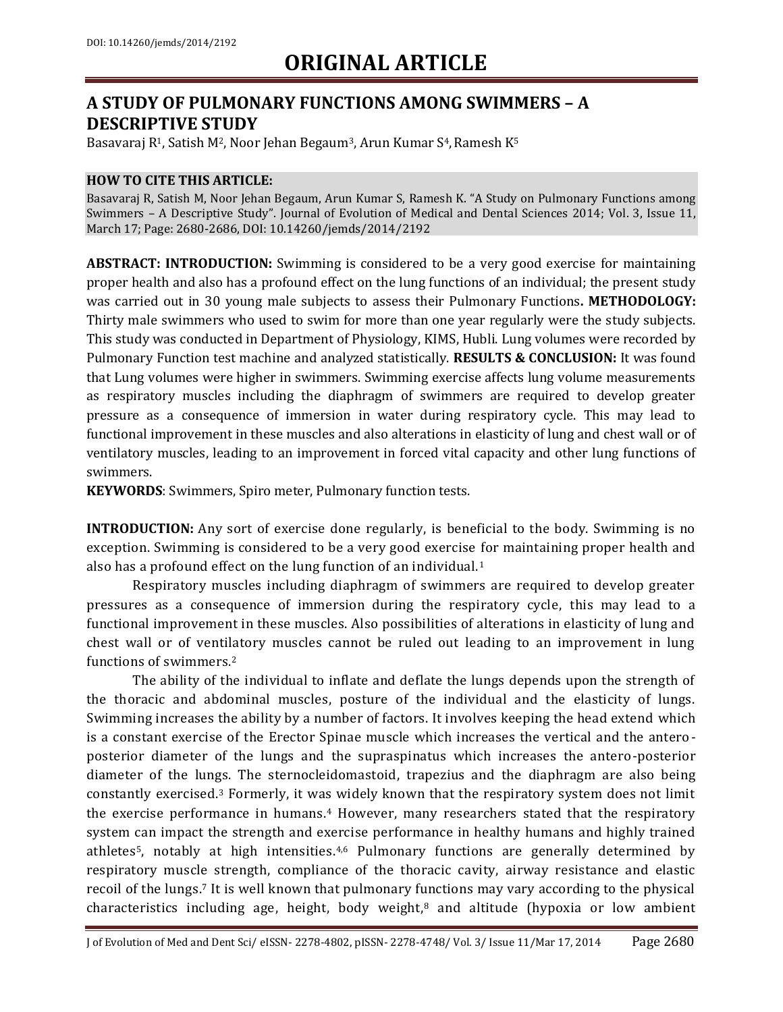### **A STUDY OF PULMONARY FUNCTIONS AMONG SWIMMERS – A DESCRIPTIVE STUDY**

Basavaraj R<sup>1</sup>, Satish M<sup>2</sup>, Noor Jehan Begaum<sup>3</sup>, Arun Kumar S<sup>4</sup>, Ramesh K<sup>5</sup>

#### **HOW TO CITE THIS ARTICLE:**

Basavaraj R, Satish M, Noor Jehan Begaum, Arun Kumar S, Ramesh K. "A Study on Pulmonary Functions among Swimmers – A Descriptive Study". Journal of Evolution of Medical and Dental Sciences 2014; Vol. 3, Issue 11, March 17; Page: 2680-2686, DOI: 10.14260/jemds/2014/2192

**ABSTRACT: INTRODUCTION:** Swimming is considered to be a very good exercise for maintaining proper health and also has a profound effect on the lung functions of an individual; the present study was carried out in 30 young male subjects to assess their Pulmonary Functions**. METHODOLOGY:**  Thirty male swimmers who used to swim for more than one year regularly were the study subjects. This study was conducted in Department of Physiology, KIMS, Hubli. Lung volumes were recorded by Pulmonary Function test machine and analyzed statistically. **RESULTS & CONCLUSION:** It was found that Lung volumes were higher in swimmers. Swimming exercise affects lung volume measurements as respiratory muscles including the diaphragm of swimmers are required to develop greater pressure as a consequence of immersion in water during respiratory cycle. This may lead to functional improvement in these muscles and also alterations in elasticity of lung and chest wall or of ventilatory muscles, leading to an improvement in forced vital capacity and other lung functions of swimmers.

**KEYWORDS**: Swimmers, Spiro meter, Pulmonary function tests.

**INTRODUCTION:** Any sort of exercise done regularly, is beneficial to the body. Swimming is no exception. Swimming is considered to be a very good exercise for maintaining proper health and also has a profound effect on the lung function of an individual. <sup>1</sup>

Respiratory muscles including diaphragm of swimmers are required to develop greater pressures as a consequence of immersion during the respiratory cycle, this may lead to a functional improvement in these muscles. Also possibilities of alterations in elasticity of lung and chest wall or of ventilatory muscles cannot be ruled out leading to an improvement in lung functions of swimmers.<sup>2</sup>

The ability of the individual to inflate and deflate the lungs depends upon the strength of the thoracic and abdominal muscles, posture of the individual and the elasticity of lungs. Swimming increases the ability by a number of factors. It involves keeping the head extend which is a constant exercise of the Erector Spinae muscle which increases the vertical and the anteroposterior diameter of the lungs and the supraspinatus which increases the antero-posterior diameter of the lungs. The sternocleidomastoid, trapezius and the diaphragm are also being constantly exercised.<sup>3</sup> Formerly, it was widely known that the respiratory system does not limit the exercise performance in humans. <sup>4</sup> However, many researchers stated that the respiratory system can impact the strength and exercise performance in healthy humans and highly trained athletes<sup>5</sup>, notably at high intensities.<sup>4,6</sup> Pulmonary functions are generally determined by respiratory muscle strength, compliance of the thoracic cavity, airway resistance and elastic recoil of the lungs.<sup>7</sup> It is well known that pulmonary functions may vary according to the physical characteristics including age, height, body weight, <sup>8</sup> and altitude (hypoxia or low ambient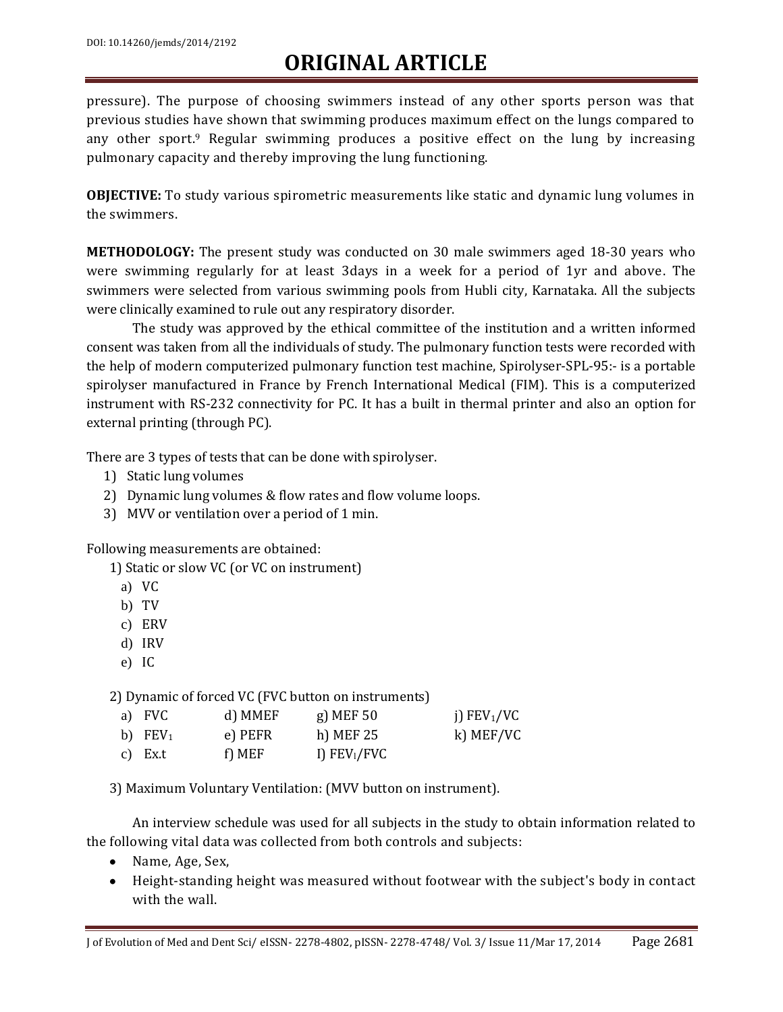pressure). The purpose of choosing swimmers instead of any other sports person was that previous studies have shown that swimming produces maximum effect on the lungs compared to any other sport. <sup>9</sup> Regular swimming produces a positive effect on the lung by increasing pulmonary capacity and thereby improving the lung functioning.

**OBJECTIVE:** To study various spirometric measurements like static and dynamic lung volumes in the swimmers.

**METHODOLOGY:** The present study was conducted on 30 male swimmers aged 18-30 years who were swimming regularly for at least 3days in a week for a period of 1yr and above. The swimmers were selected from various swimming pools from Hubli city, Karnataka. All the subjects were clinically examined to rule out any respiratory disorder.

The study was approved by the ethical committee of the institution and a written informed consent was taken from all the individuals of study. The pulmonary function tests were recorded with the help of modern computerized pulmonary function test machine, Spirolyser-SPL-95:- is a portable spirolyser manufactured in France by French International Medical (FIM). This is a computerized instrument with RS-232 connectivity for PC. It has a built in thermal printer and also an option for external printing (through PC).

There are 3 types of tests that can be done with spirolyser.

- 1) Static lung volumes
- 2) Dynamic lung volumes & flow rates and flow volume loops.
- 3) MVV or ventilation over a period of 1 min.

Following measurements are obtained:

1) Static or slow VC (or VC on instrument)

- a) VC
- b) TV
- c) ERV
- d) IRV
- e) IC

2) Dynamic of forced VC (FVC button on instruments)

| a) FVC     | d) MMEF | $g$ ) MEF 50  | j) $FEV1/VC$ |
|------------|---------|---------------|--------------|
| b) $FEV_1$ | e) PEFR | h) MEF 25     | k) MEF/VC    |
| c) $Ex.t$  | f) MEF  | I) $FEV1/FVC$ |              |

3) Maximum Voluntary Ventilation: (MVV button on instrument).

An interview schedule was used for all subjects in the study to obtain information related to the following vital data was collected from both controls and subjects:

- $\bullet$ Name, Age, Sex,
- Height-standing height was measured without footwear with the subject's body in contact  $\bullet$ with the wall.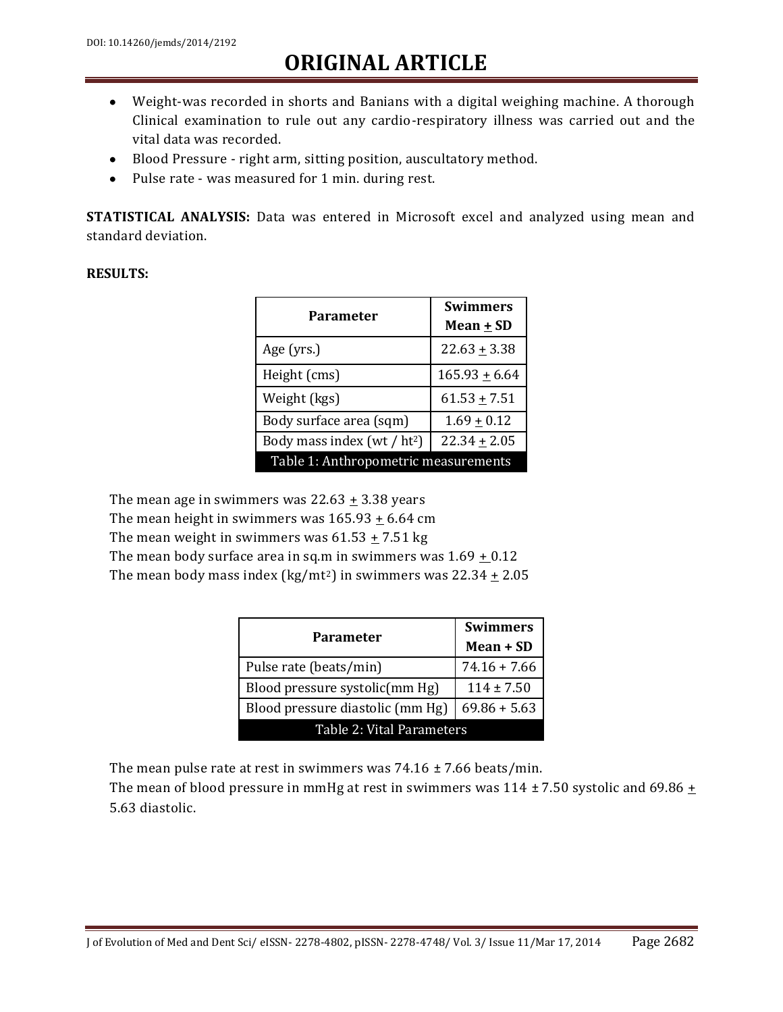- Weight-was recorded in shorts and Banians with a digital weighing machine. A thorough Clinical examination to rule out any cardio-respiratory illness was carried out and the vital data was recorded.
- Blood Pressure right arm, sitting position, auscultatory method.  $\bullet$
- Pulse rate was measured for 1 min. during rest.  $\bullet$

**STATISTICAL ANALYSIS:** Data was entered in Microsoft excel and analyzed using mean and standard deviation.

#### **RESULTS:**

| Parameter                               | <b>Swimmers</b><br>Mean + SD |  |
|-----------------------------------------|------------------------------|--|
| Age (yrs.)                              | $22.63 \pm 3.38$             |  |
| Height (cms)                            | $165.93 + 6.64$              |  |
| Weight (kgs)                            | $61.53 + 7.51$               |  |
| Body surface area (sqm)                 | $1.69 + 0.12$                |  |
| Body mass index (wt / ht <sup>2</sup> ) | $22.34 + 2.05$               |  |
| Table 1: Anthropometric measurements    |                              |  |

The mean age in swimmers was  $22.63 \pm 3.38$  years

The mean height in swimmers was  $165.93 \pm 6.64$  cm

The mean weight in swimmers was  $61.53 \pm 7.51$  kg

The mean body surface area in sq.m in swimmers was  $1.69 \pm 0.12$ 

The mean body mass index (kg/mt<sup>2</sup>) in swimmers was  $22.34 \pm 2.05$ 

| Parameter                        | <b>Swimmers</b> |
|----------------------------------|-----------------|
|                                  | Mean + SD       |
| Pulse rate (beats/min)           | $74.16 + 7.66$  |
| Blood pressure systolic(mm Hg)   | $114 \pm 7.50$  |
| Blood pressure diastolic (mm Hg) | $69.86 + 5.63$  |
| Table 2: Vital Parameters        |                 |

The mean pulse rate at rest in swimmers was  $74.16 \pm 7.66$  beats/min.

The mean of blood pressure in mmHg at rest in swimmers was  $114 \pm 7.50$  systolic and  $69.86 \pm 10^{-1}$ 5.63 diastolic.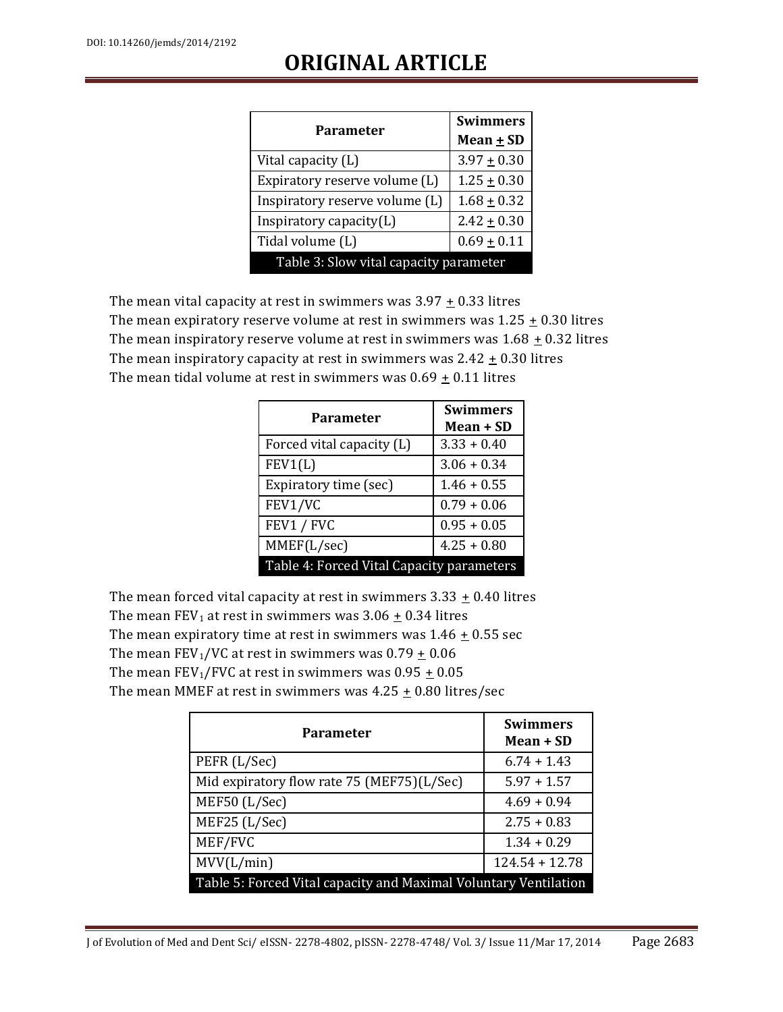|                                        | <b>Swimmers</b> |  |
|----------------------------------------|-----------------|--|
| Parameter                              | Mean $\pm$ SD   |  |
| Vital capacity (L)                     | $3.97 \pm 0.30$ |  |
| Expiratory reserve volume (L)          | $1.25 \pm 0.30$ |  |
| Inspiratory reserve volume (L)         | $1.68 + 0.32$   |  |
| Inspiratory capacity(L)                | $2.42 + 0.30$   |  |
| Tidal volume (L)                       | $0.69 \pm 0.11$ |  |
| Table 3: Slow vital capacity parameter |                 |  |

The mean vital capacity at rest in swimmers was  $3.97 \pm 0.33$  litres The mean expiratory reserve volume at rest in swimmers was  $1.25 \pm 0.30$  litres The mean inspiratory reserve volume at rest in swimmers was  $1.68 \pm 0.32$  litres The mean inspiratory capacity at rest in swimmers was  $2.42 \pm 0.30$  litres The mean tidal volume at rest in swimmers was  $0.69 \pm 0.11$  litres

| <b>Parameter</b>                          | <b>Swimmers</b><br>Mean + SD |
|-------------------------------------------|------------------------------|
| Forced vital capacity (L)                 | $3.33 + 0.40$                |
| FEV1(L)                                   | $3.06 + 0.34$                |
| Expiratory time (sec)                     | $1.46 + 0.55$                |
| FEV1/VC                                   | $0.79 + 0.06$                |
| FEV1 / FVC                                | $0.95 + 0.05$                |
| MMEF(L/sec)                               | $4.25 + 0.80$                |
| Table 4: Forced Vital Capacity parameters |                              |

The mean forced vital capacity at rest in swimmers  $3.33 \pm 0.40$  litres The mean FEV<sub>1</sub> at rest in swimmers was  $3.06 \pm 0.34$  litres The mean expiratory time at rest in swimmers was  $1.46 \pm 0.55$  sec The mean FEV<sub>1</sub>/VC at rest in swimmers was  $0.79 \pm 0.06$ The mean FEV<sub>1</sub>/FVC at rest in swimmers was  $0.95 \pm 0.05$ The mean MMEF at rest in swimmers was  $4.25 \pm 0.80$  litres/sec

| <b>Parameter</b>                                                 | <b>Swimmers</b><br>Mean + SD |
|------------------------------------------------------------------|------------------------------|
| PEFR (L/Sec)                                                     | $6.74 + 1.43$                |
| Mid expiratory flow rate 75 (MEF75)(L/Sec)                       | $5.97 + 1.57$                |
| MEF50 (L/Sec)                                                    | $4.69 + 0.94$                |
| MEF25 (L/Sec)                                                    | $2.75 + 0.83$                |
| MEF/FVC                                                          | $1.34 + 0.29$                |
| MV(L/min)                                                        | $124.54 + 12.78$             |
| Table 5: Forced Vital capacity and Maximal Voluntary Ventilation |                              |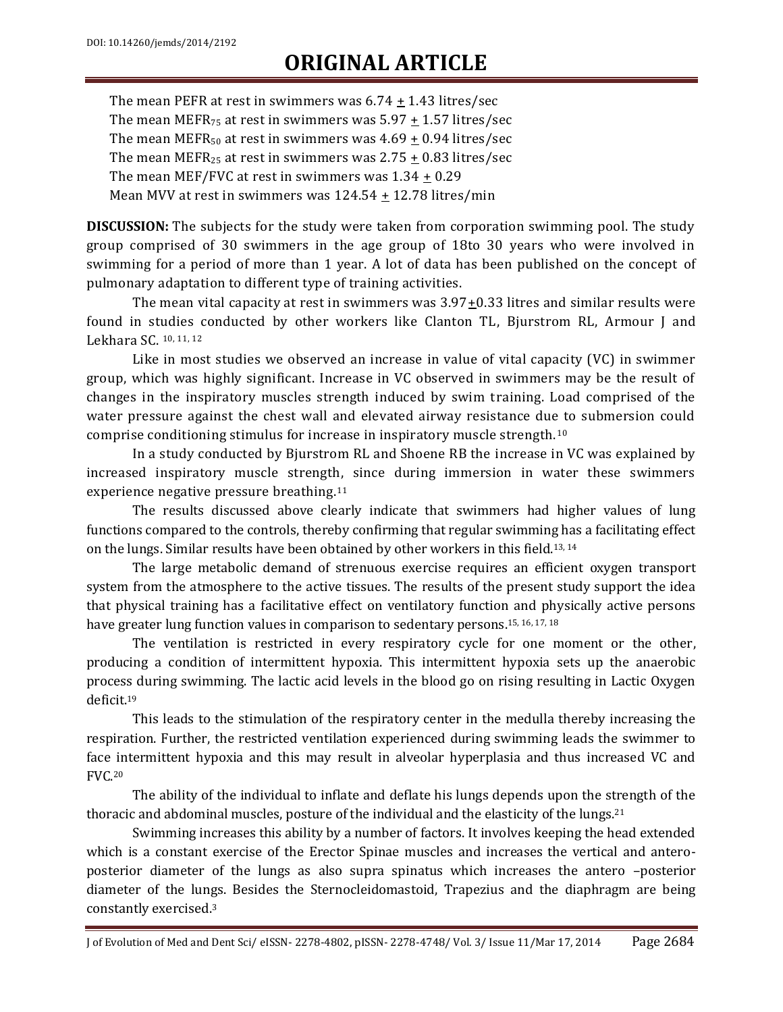The mean PEFR at rest in swimmers was 6.74 + 1.43 litres/sec The mean MEFR<sub>75</sub> at rest in swimmers was  $5.97 \pm 1.57$  litres/sec The mean MEFR<sub>50</sub> at rest in swimmers was  $4.69 \pm 0.94$  litres/sec The mean MEFR<sub>25</sub> at rest in swimmers was  $2.75 + 0.83$  litres/sec The mean MEF/FVC at rest in swimmers was 1.34 + 0.29 Mean MVV at rest in swimmers was  $124.54 \pm 12.78$  litres/min

**DISCUSSION:** The subjects for the study were taken from corporation swimming pool. The study group comprised of 30 swimmers in the age group of 18to 30 years who were involved in swimming for a period of more than 1 year. A lot of data has been published on the concept of pulmonary adaptation to different type of training activities.

The mean vital capacity at rest in swimmers was  $3.97\pm0.33$  litres and similar results were found in studies conducted by other workers like Clanton TL, Bjurstrom RL, Armour J and Lekhara SC. 10, 11, 12

Like in most studies we observed an increase in value of vital capacity (VC) in swimmer group, which was highly significant. Increase in VC observed in swimmers may be the result of changes in the inspiratory muscles strength induced by swim training. Load comprised of the water pressure against the chest wall and elevated airway resistance due to submersion could comprise conditioning stimulus for increase in inspiratory muscle strength. <sup>10</sup>

In a study conducted by Bjurstrom RL and Shoene RB the increase in VC was explained by increased inspiratory muscle strength, since during immersion in water these swimmers experience negative pressure breathing.<sup>11</sup>

The results discussed above clearly indicate that swimmers had higher values of lung functions compared to the controls, thereby confirming that regular swimming has a facilitating effect on the lungs. Similar results have been obtained by other workers in this field.<sup>13, 14</sup>

The large metabolic demand of strenuous exercise requires an efficient oxygen transport system from the atmosphere to the active tissues. The results of the present study support the idea that physical training has a facilitative effect on ventilatory function and physically active persons have greater lung function values in comparison to sedentary persons.<sup>15, 16, 17, 18</sup>

The ventilation is restricted in every respiratory cycle for one moment or the other, producing a condition of intermittent hypoxia. This intermittent hypoxia sets up the anaerobic process during swimming. The lactic acid levels in the blood go on rising resulting in Lactic Oxygen deficit. 19

This leads to the stimulation of the respiratory center in the medulla thereby increasing the respiration. Further, the restricted ventilation experienced during swimming leads the swimmer to face intermittent hypoxia and this may result in alveolar hyperplasia and thus increased VC and FVC.<sup>20</sup>

The ability of the individual to inflate and deflate his lungs depends upon the strength of the thoracic and abdominal muscles, posture of the individual and the elasticity of the lungs. 21

Swimming increases this ability by a number of factors. It involves keeping the head extended which is a constant exercise of the Erector Spinae muscles and increases the vertical and anteroposterior diameter of the lungs as also supra spinatus which increases the antero –posterior diameter of the lungs. Besides the Sternocleidomastoid, Trapezius and the diaphragm are being constantly exercised.3

J of Evolution of Med and Dent Sci/ eISSN- 2278-4802, pISSN- 2278-4748/ Vol. 3/ Issue 11/Mar 17, 2014 Page 2684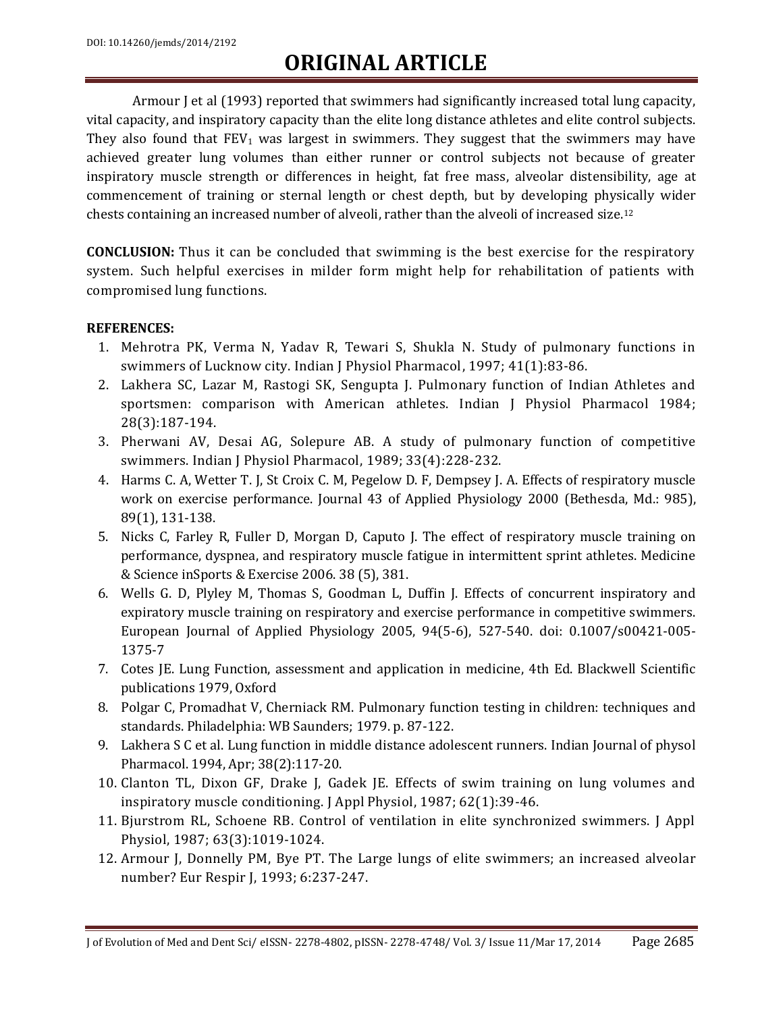Armour J et al (1993) reported that swimmers had significantly increased total lung capacity, vital capacity, and inspiratory capacity than the elite long distance athletes and elite control subjects. They also found that  $FEV<sub>1</sub>$  was largest in swimmers. They suggest that the swimmers may have achieved greater lung volumes than either runner or control subjects not because of greater inspiratory muscle strength or differences in height, fat free mass, alveolar distensibility, age at commencement of training or sternal length or chest depth, but by developing physically wider chests containing an increased number of alveoli, rather than the alveoli of increased size. 12

**CONCLUSION:** Thus it can be concluded that swimming is the best exercise for the respiratory system. Such helpful exercises in milder form might help for rehabilitation of patients with compromised lung functions.

#### **REFERENCES:**

- 1. Mehrotra PK, Verma N, Yadav R, Tewari S, Shukla N. Study of pulmonary functions in swimmers of Lucknow city. Indian J Physiol Pharmacol, 1997; 41(1):83-86.
- 2. Lakhera SC, Lazar M, Rastogi SK, Sengupta J. Pulmonary function of Indian Athletes and sportsmen: comparison with American athletes. Indian J Physiol Pharmacol 1984; 28(3):187-194.
- 3. Pherwani AV, Desai AG, Solepure AB. A study of pulmonary function of competitive swimmers. Indian J Physiol Pharmacol, 1989; 33(4):228-232.
- 4. Harms C. A, Wetter T. J, St Croix C. M, Pegelow D. F, Dempsey J. A. Effects of respiratory muscle work on exercise performance. Journal 43 of Applied Physiology 2000 (Bethesda, Md.: 985), 89(1), 131-138.
- 5. Nicks C, Farley R, Fuller D, Morgan D, Caputo J. The effect of respiratory muscle training on performance, dyspnea, and respiratory muscle fatigue in intermittent sprint athletes. Medicine & Science inSports & Exercise 2006. 38 (5), 381.
- 6. Wells G. D, Plyley M, Thomas S, Goodman L, Duffin J. Effects of concurrent inspiratory and expiratory muscle training on respiratory and exercise performance in competitive swimmers. European Journal of Applied Physiology 2005, 94(5-6), 527-540. doi: 0.1007/s00421-005- 1375-7
- 7. Cotes JE. Lung Function, assessment and application in medicine, 4th Ed. Blackwell Scientific publications 1979, Oxford
- 8. Polgar C, Promadhat V, Cherniack RM. Pulmonary function testing in children: techniques and standards. Philadelphia: WB Saunders; 1979. p. 87-122.
- 9. Lakhera S C et al. Lung function in middle distance adolescent runners. Indian Journal of physol Pharmacol. 1994, Apr; 38(2):117-20.
- 10. Clanton TL, Dixon GF, Drake J, Gadek JE. Effects of swim training on lung volumes and inspiratory muscle conditioning. J Appl Physiol, 1987; 62(1):39-46.
- 11. Bjurstrom RL, Schoene RB. Control of ventilation in elite synchronized swimmers. J Appl Physiol, 1987; 63(3):1019-1024.
- 12. Armour J, Donnelly PM, Bye PT. The Large lungs of elite swimmers; an increased alveolar number? Eur Respir J, 1993; 6:237-247.